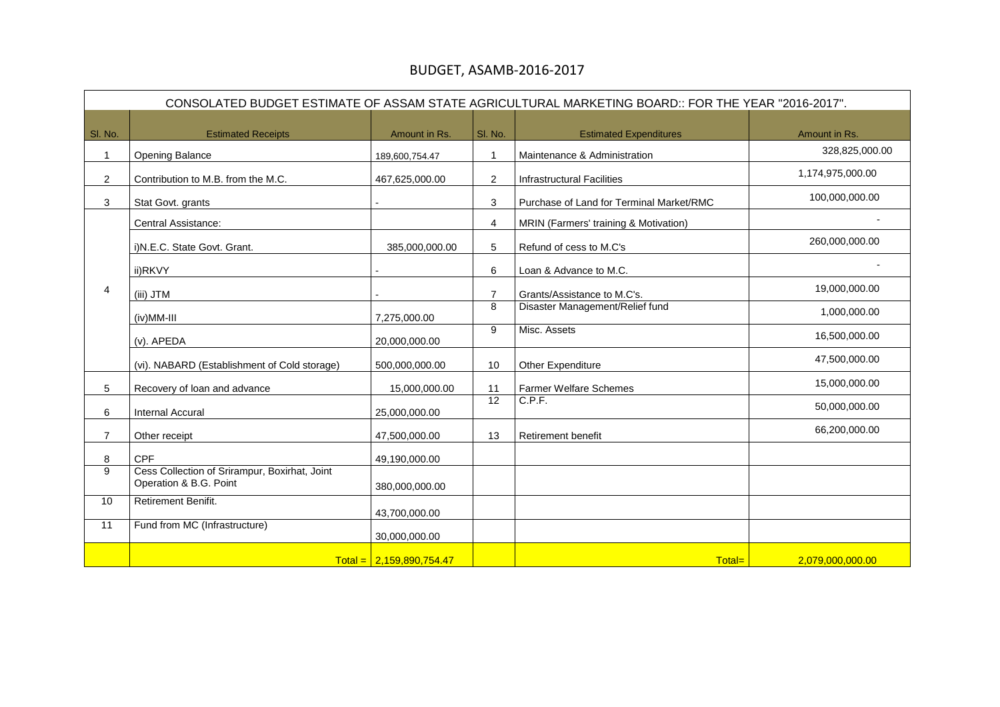## BUDGET, ASAMB-2016-2017

|                |                                                                         |                            |                | CONSOLATED BUDGET ESTIMATE OF ASSAM STATE AGRICULTURAL MARKETING BOARD:: FOR THE YEAR "2016-2017". |                  |
|----------------|-------------------------------------------------------------------------|----------------------------|----------------|----------------------------------------------------------------------------------------------------|------------------|
| SI. No.        | <b>Estimated Receipts</b>                                               | Amount in Rs.              | SI. No.        | <b>Estimated Expenditures</b>                                                                      | Amount in Rs.    |
|                | <b>Opening Balance</b>                                                  | 189,600,754.47             | 1              | Maintenance & Administration                                                                       | 328,825,000.00   |
| $\overline{2}$ | Contribution to M.B. from the M.C.                                      | 467,625,000.00             | $\overline{2}$ | <b>Infrastructural Facilities</b>                                                                  | 1,174,975,000.00 |
| 3              | Stat Govt. grants                                                       |                            | 3              | Purchase of Land for Terminal Market/RMC                                                           | 100,000,000.00   |
|                | <b>Central Assistance:</b>                                              |                            | 4              | <b>MRIN (Farmers' training &amp; Motivation)</b>                                                   |                  |
|                | i) N.E.C. State Govt. Grant.                                            | 385,000,000.00             | 5              | Refund of cess to M.C's                                                                            | 260,000,000.00   |
|                | ii)RKVY                                                                 |                            | 6              | Loan & Advance to M.C.                                                                             |                  |
| 4              | (iii) JTM                                                               |                            | $\overline{7}$ | Grants/Assistance to M.C's.                                                                        | 19,000,000.00    |
|                | (iv)MM-III                                                              | 7,275,000.00               | 8              | Disaster Management/Relief fund                                                                    | 1,000,000.00     |
|                | (v). APEDA                                                              | 20,000,000.00              | 9              | Misc. Assets                                                                                       | 16,500,000.00    |
|                | (vi). NABARD (Establishment of Cold storage)                            | 500,000,000.00             | 10             | <b>Other Expenditure</b>                                                                           | 47,500,000.00    |
| 5              | Recovery of loan and advance                                            | 15,000,000.00              | 11             | <b>Farmer Welfare Schemes</b>                                                                      | 15,000,000.00    |
| 6              | Internal Accural                                                        | 25,000,000.00              | 12             | C.P.F.                                                                                             | 50,000,000.00    |
| $\overline{7}$ | Other receipt                                                           | 47,500,000.00              | 13             | <b>Retirement benefit</b>                                                                          | 66,200,000.00    |
| 8              | <b>CPF</b>                                                              | 49,190,000.00              |                |                                                                                                    |                  |
| 9              | Cess Collection of Srirampur, Boxirhat, Joint<br>Operation & B.G. Point | 380,000,000.00             |                |                                                                                                    |                  |
| 10             | Retirement Benifit.                                                     | 43,700,000.00              |                |                                                                                                    |                  |
| 11             | Fund from MC (Infrastructure)                                           | 30,000,000.00              |                |                                                                                                    |                  |
|                |                                                                         | $Total = 2,159,890,754.47$ |                | Total=                                                                                             | 2,079,000,000.00 |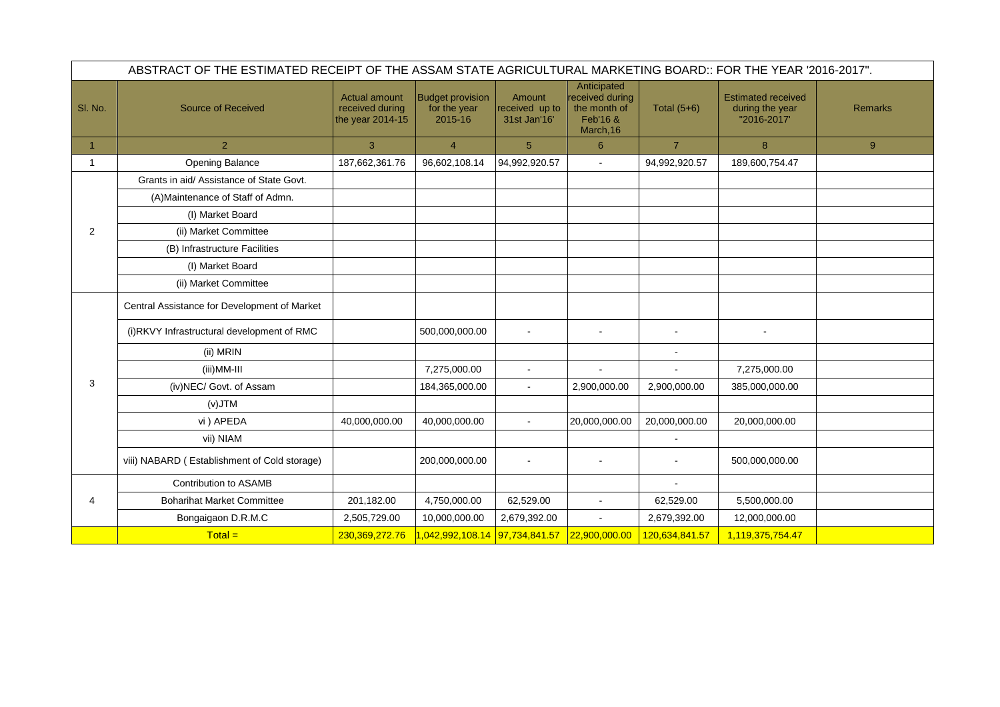|                | ABSTRACT OF THE ESTIMATED RECEIPT OF THE ASSAM STATE AGRICULTURAL MARKETING BOARD:: FOR THE YEAR '2016-2017". |                                                      |                                                    |                                          |                                                                         |                |                                                             |                |  |
|----------------|---------------------------------------------------------------------------------------------------------------|------------------------------------------------------|----------------------------------------------------|------------------------------------------|-------------------------------------------------------------------------|----------------|-------------------------------------------------------------|----------------|--|
| SI. No.        | <b>Source of Received</b>                                                                                     | Actual amount<br>received during<br>the year 2014-15 | <b>Budget provision</b><br>for the year<br>2015-16 | Amount<br>received up to<br>31st Jan'16' | Anticipated<br>received during<br>the month of<br>Feb'16 &<br>March, 16 | Total $(5+6)$  | <b>Estimated received</b><br>during the year<br>"2016-2017" | <b>Remarks</b> |  |
| 1              | 2                                                                                                             | 3                                                    | 4                                                  | 5                                        | 6                                                                       | $\overline{7}$ | 8                                                           | 9 <sup>°</sup> |  |
|                | <b>Opening Balance</b>                                                                                        | 187,662,361.76                                       | 96,602,108.14                                      | 94,992,920.57                            | $\sim$                                                                  | 94,992,920.57  | 189,600,754.47                                              |                |  |
|                | Grants in aid/Assistance of State Govt.                                                                       |                                                      |                                                    |                                          |                                                                         |                |                                                             |                |  |
|                | (A) Maintenance of Staff of Admn.                                                                             |                                                      |                                                    |                                          |                                                                         |                |                                                             |                |  |
|                | (I) Market Board                                                                                              |                                                      |                                                    |                                          |                                                                         |                |                                                             |                |  |
| 2              | (ii) Market Committee                                                                                         |                                                      |                                                    |                                          |                                                                         |                |                                                             |                |  |
|                | (B) Infrastructure Facilities                                                                                 |                                                      |                                                    |                                          |                                                                         |                |                                                             |                |  |
|                | (I) Market Board                                                                                              |                                                      |                                                    |                                          |                                                                         |                |                                                             |                |  |
|                | (ii) Market Committee                                                                                         |                                                      |                                                    |                                          |                                                                         |                |                                                             |                |  |
|                | Central Assistance for Development of Market                                                                  |                                                      |                                                    |                                          |                                                                         |                |                                                             |                |  |
|                | (i)RKVY Infrastructural development of RMC                                                                    |                                                      | 500,000,000.00                                     |                                          |                                                                         | $\sim$         |                                                             |                |  |
|                | (ii) MRIN                                                                                                     |                                                      |                                                    |                                          |                                                                         | $\sim$         |                                                             |                |  |
|                | (iii)MM-III                                                                                                   |                                                      | 7,275,000.00                                       | $\sim$                                   | $\sim$                                                                  | $\sim$         | 7,275,000.00                                                |                |  |
| 3              | (iv)NEC/ Govt. of Assam                                                                                       |                                                      | 184,365,000.00                                     |                                          | 2,900,000.00                                                            | 2,900,000.00   | 385,000,000.00                                              |                |  |
|                | $(V)$ J $TM$                                                                                                  |                                                      |                                                    |                                          |                                                                         |                |                                                             |                |  |
|                | vi ) APEDA                                                                                                    | 40,000,000.00                                        | 40,000,000.00                                      |                                          | 20,000,000.00                                                           | 20,000,000.00  | 20,000,000.00                                               |                |  |
|                | vii) NIAM                                                                                                     |                                                      |                                                    |                                          |                                                                         | $\sim$         |                                                             |                |  |
|                | viii) NABARD (Establishment of Cold storage)                                                                  |                                                      | 200,000,000.00                                     |                                          |                                                                         |                | 500,000,000.00                                              |                |  |
|                | <b>Contribution to ASAMB</b>                                                                                  |                                                      |                                                    |                                          |                                                                         | $\sim$         |                                                             |                |  |
| $\overline{4}$ | <b>Boharihat Market Committee</b>                                                                             | 201,182.00                                           | 4,750,000.00                                       | 62,529.00                                | $\sim$                                                                  | 62,529.00      | 5,500,000.00                                                |                |  |
|                | Bongaigaon D.R.M.C                                                                                            | 2,505,729.00                                         | 10,000,000.00                                      | 2,679,392.00                             | $\sim$                                                                  | 2,679,392.00   | 12,000,000.00                                               |                |  |
|                | $Total =$                                                                                                     | 230,369,272.76                                       | 042,992,108.14 97,734,841.57                       |                                          | 22,900,000.00                                                           | 120,634,841.57 | 1,119,375,754.47                                            |                |  |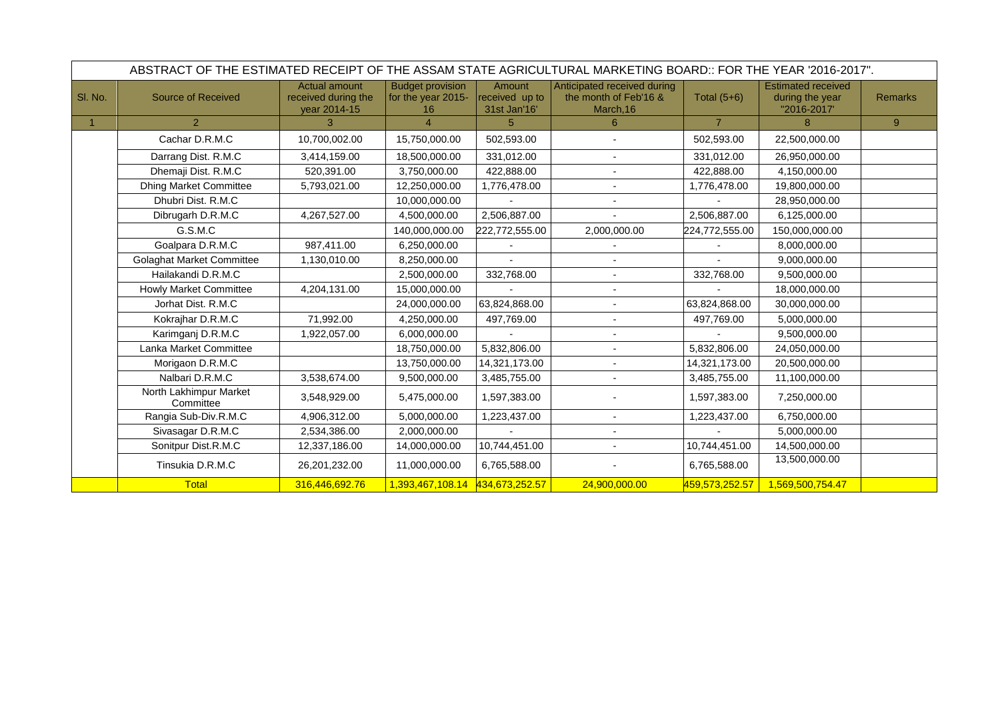|         | ABSTRACT OF THE ESTIMATED RECEIPT OF THE ASSAM STATE AGRICULTURAL MARKETING BOARD:: FOR THE YEAR '2016-2017". |                                                             |                                                     |                                          |                                                                   |                |                                                             |                |
|---------|---------------------------------------------------------------------------------------------------------------|-------------------------------------------------------------|-----------------------------------------------------|------------------------------------------|-------------------------------------------------------------------|----------------|-------------------------------------------------------------|----------------|
| SI. No. | <b>Source of Received</b>                                                                                     | <b>Actual amount</b><br>received during the<br>year 2014-15 | <b>Budget provision</b><br>for the year 2015-<br>16 | Amount<br>received up to<br>31st Jan'16' | Anticipated received during<br>the month of Feb'16 &<br>March, 16 | Total $(5+6)$  | <b>Estimated received</b><br>during the year<br>"2016-2017' | <b>Remarks</b> |
|         | 2                                                                                                             | 3                                                           | $\boldsymbol{\varLambda}$                           | 5                                        | $6^{\circ}$                                                       |                | 8                                                           | 9              |
|         | Cachar D.R.M.C                                                                                                | 10,700,002.00                                               | 15,750,000.00                                       | 502,593.00                               |                                                                   | 502,593.00     | 22,500,000.00                                               |                |
|         | Darrang Dist. R.M.C                                                                                           | 3,414,159.00                                                | 18,500,000.00                                       | 331,012.00                               |                                                                   | 331,012.00     | 26,950,000.00                                               |                |
|         | Dhemaji Dist. R.M.C                                                                                           | 520,391.00                                                  | 3,750,000.00                                        | 422,888.00                               |                                                                   | 422,888.00     | 4,150,000.00                                                |                |
|         | <b>Dhing Market Committee</b>                                                                                 | 5,793,021.00                                                | 12,250,000.00                                       | 1,776,478.00                             |                                                                   | 1,776,478.00   | 19,800,000.00                                               |                |
|         | Dhubri Dist. R.M.C                                                                                            |                                                             | 10,000,000.00                                       |                                          |                                                                   |                | 28,950,000.00                                               |                |
|         | Dibrugarh D.R.M.C                                                                                             | 4,267,527.00                                                | 4,500,000.00                                        | 2,506,887.00                             |                                                                   | 2,506,887.00   | 6,125,000.00                                                |                |
|         | G.S.M.C                                                                                                       |                                                             | 140,000,000.00                                      | 222,772,555.00                           | 2,000,000.00                                                      | 224,772,555.00 | 150,000,000.00                                              |                |
|         | Goalpara D.R.M.C                                                                                              | 987,411.00                                                  | 6,250,000.00                                        |                                          |                                                                   |                | 8,000,000.00                                                |                |
|         | <b>Golaghat Market Committee</b>                                                                              | 1,130,010.00                                                | 8,250,000.00                                        |                                          |                                                                   |                | 9,000,000.00                                                |                |
|         | Hailakandi D.R.M.C                                                                                            |                                                             | 2,500,000.00                                        | 332,768.00                               | $\overline{\phantom{a}}$                                          | 332,768.00     | 9,500,000.00                                                |                |
|         | <b>Howly Market Committee</b>                                                                                 | 4,204,131.00                                                | 15,000,000.00                                       |                                          | $\blacksquare$                                                    |                | 18,000,000.00                                               |                |
|         | Jorhat Dist. R.M.C                                                                                            |                                                             | 24,000,000.00                                       | 63,824,868.00                            |                                                                   | 63,824,868.00  | 30,000,000.00                                               |                |
|         | Kokrajhar D.R.M.C                                                                                             | 71,992.00                                                   | 4,250,000.00                                        | 497,769.00                               |                                                                   | 497,769.00     | 5,000,000.00                                                |                |
|         | Karimganj D.R.M.C                                                                                             | 1,922,057.00                                                | 6,000,000.00                                        |                                          |                                                                   |                | 9,500,000.00                                                |                |
|         | Lanka Market Committee                                                                                        |                                                             | 18,750,000.00                                       | 5,832,806.00                             |                                                                   | 5,832,806.00   | 24,050,000.00                                               |                |
|         | Morigaon D.R.M.C                                                                                              |                                                             | 13,750,000.00                                       | 14,321,173.00                            |                                                                   | 14,321,173.00  | 20,500,000.00                                               |                |
|         | Nalbari D.R.M.C                                                                                               | 3,538,674.00                                                | 9,500,000.00                                        | 3,485,755.00                             |                                                                   | 3,485,755.00   | 11,100,000.00                                               |                |
|         | North Lakhimpur Market<br>Committee                                                                           | 3,548,929.00                                                | 5,475,000.00                                        | 1,597,383.00                             |                                                                   | 1,597,383.00   | 7,250,000.00                                                |                |
|         | Rangia Sub-Div.R.M.C                                                                                          | 4,906,312.00                                                | 5,000,000.00                                        | 1,223,437.00                             |                                                                   | 1,223,437.00   | 6,750,000.00                                                |                |
|         | Sivasagar D.R.M.C                                                                                             | 2,534,386.00                                                | 2,000,000.00                                        |                                          | $\overline{\phantom{a}}$                                          |                | 5,000,000.00                                                |                |
|         | Sonitpur Dist.R.M.C                                                                                           | 12,337,186.00                                               | 14,000,000.00                                       | 10,744,451.00                            |                                                                   | 10,744,451.00  | 14,500,000.00                                               |                |
|         | Tinsukia D.R.M.C                                                                                              | 26,201,232.00                                               | 11,000,000.00                                       | 6,765,588.00                             |                                                                   | 6,765,588.00   | 13,500,000.00                                               |                |
|         | <b>Total</b>                                                                                                  | 316,446,692.76                                              | 1,393,467,108.14                                    | 434,673,252.57                           | 24,900,000.00                                                     | 459,573,252.57 | 1,569,500,754.47                                            |                |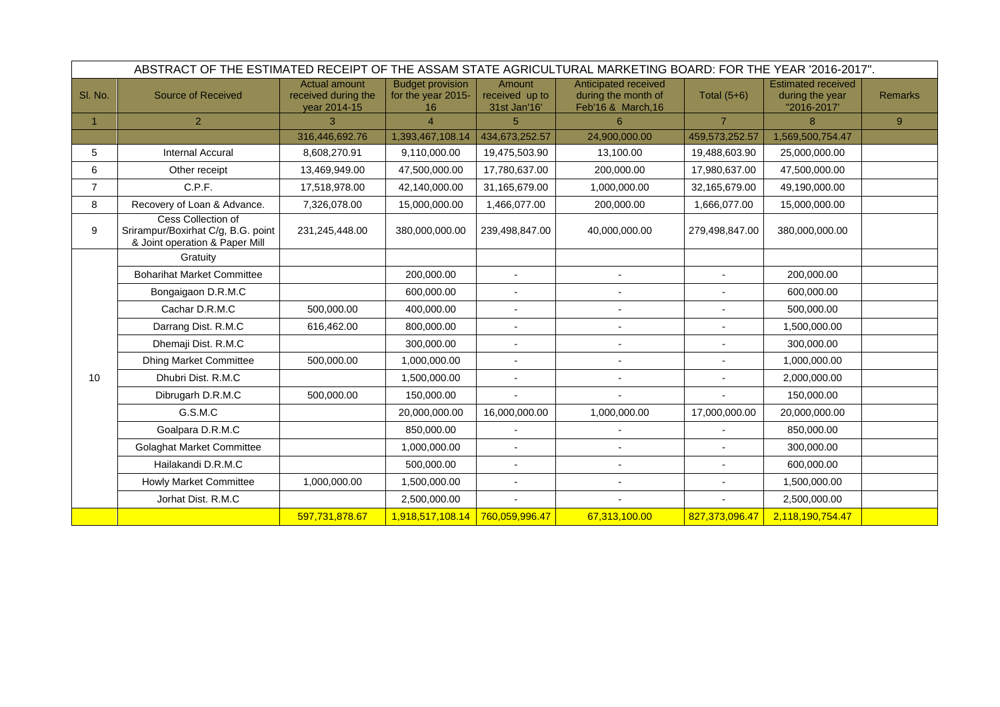|         | ABSTRACT OF THE ESTIMATED RECEIPT OF THE ASSAM STATE AGRICULTURAL MARKETING BOARD: FOR THE YEAR '2016-2017". |                                                             |                                                     |                                          |                                                                   |                |                                                             |                |
|---------|--------------------------------------------------------------------------------------------------------------|-------------------------------------------------------------|-----------------------------------------------------|------------------------------------------|-------------------------------------------------------------------|----------------|-------------------------------------------------------------|----------------|
| SI. No. | <b>Source of Received</b>                                                                                    | <b>Actual amount</b><br>received during the<br>year 2014-15 | <b>Budget provision</b><br>for the year 2015-<br>16 | Amount<br>received up to<br>31st Jan'16' | Anticipated received<br>during the month of<br>Feb'16 & March, 16 | Total $(5+6)$  | <b>Estimated received</b><br>during the year<br>"2016-2017' | <b>Remarks</b> |
|         | 2 <sup>1</sup>                                                                                               | 3                                                           | Δ                                                   | 5                                        | 6                                                                 | $\overline{7}$ | 8                                                           | 9 <sup>°</sup> |
|         |                                                                                                              | 316,446,692.76                                              | 1,393,467,108.14                                    | 434,673,252.57                           | 24,900,000.00                                                     | 459,573,252.57 | 1,569,500,754.47                                            |                |
| 5       | <b>Internal Accural</b>                                                                                      | 8,608,270.91                                                | 9,110,000.00                                        | 19,475,503.90                            | 13,100.00                                                         | 19,488,603.90  | 25,000,000.00                                               |                |
| 6       | Other receipt                                                                                                | 13,469,949.00                                               | 47,500,000.00                                       | 17,780,637.00                            | 200,000.00                                                        | 17,980,637.00  | 47,500,000.00                                               |                |
| 7       | C.P.F.                                                                                                       | 17,518,978.00                                               | 42,140,000.00                                       | 31,165,679.00                            | 1,000,000.00                                                      | 32,165,679.00  | 49,190,000.00                                               |                |
| 8       | Recovery of Loan & Advance.                                                                                  | 7,326,078.00                                                | 15,000,000.00                                       | 1,466,077.00                             | 200,000.00                                                        | 1,666,077.00   | 15,000,000.00                                               |                |
| 9       | Cess Collection of<br>Srirampur/Boxirhat C/g, B.G. point<br>& Joint operation & Paper Mill                   | 231,245,448.00                                              | 380,000,000.00                                      | 239,498,847.00                           | 40,000,000.00                                                     | 279,498,847.00 | 380,000,000.00                                              |                |
|         | Gratuity                                                                                                     |                                                             |                                                     |                                          |                                                                   |                |                                                             |                |
|         | <b>Boharihat Market Committee</b>                                                                            |                                                             | 200,000.00                                          | $\blacksquare$                           |                                                                   | $\blacksquare$ | 200,000.00                                                  |                |
|         | Bongaigaon D.R.M.C                                                                                           |                                                             | 600,000.00                                          |                                          |                                                                   |                | 600,000.00                                                  |                |
|         | Cachar D.R.M.C                                                                                               | 500,000.00                                                  | 400,000.00                                          |                                          |                                                                   |                | 500,000.00                                                  |                |
|         | Darrang Dist. R.M.C                                                                                          | 616,462.00                                                  | 800,000.00                                          |                                          |                                                                   |                | 1,500,000.00                                                |                |
|         | Dhemaji Dist. R.M.C                                                                                          |                                                             | 300,000.00                                          | $\blacksquare$                           |                                                                   |                | 300,000.00                                                  |                |
|         | <b>Dhing Market Committee</b>                                                                                | 500,000.00                                                  | 1,000,000.00                                        |                                          |                                                                   |                | 1,000,000.00                                                |                |
| 10      | Dhubri Dist. R.M.C                                                                                           |                                                             | 1,500,000.00                                        | $\overline{\phantom{a}}$                 |                                                                   |                | 2,000,000.00                                                |                |
|         | Dibrugarh D.R.M.C                                                                                            | 500,000.00                                                  | 150,000.00                                          |                                          |                                                                   |                | 150,000.00                                                  |                |
|         | G.S.M.C                                                                                                      |                                                             | 20,000,000.00                                       | 16,000,000.00                            | 1,000,000.00                                                      | 17,000,000.00  | 20,000,000.00                                               |                |
|         | Goalpara D.R.M.C                                                                                             |                                                             | 850,000.00                                          |                                          |                                                                   |                | 850,000.00                                                  |                |
|         | <b>Golaghat Market Committee</b>                                                                             |                                                             | 1,000,000.00                                        |                                          |                                                                   |                | 300,000.00                                                  |                |
|         | Hailakandi D.R.M.C                                                                                           |                                                             | 500,000.00                                          |                                          |                                                                   |                | 600,000.00                                                  |                |
|         | <b>Howly Market Committee</b>                                                                                | 1,000,000.00                                                | 1,500,000.00                                        |                                          |                                                                   |                | 1,500,000.00                                                |                |
|         | Jorhat Dist. R.M.C                                                                                           |                                                             | 2,500,000.00                                        | $\sim$                                   |                                                                   | $\blacksquare$ | 2,500,000.00                                                |                |
|         |                                                                                                              | 597,731,878.67                                              | 1,918,517,108.14                                    | 760,059,996.47                           | 67,313,100.00                                                     | 827,373,096.47 | 2,118,190,754.47                                            |                |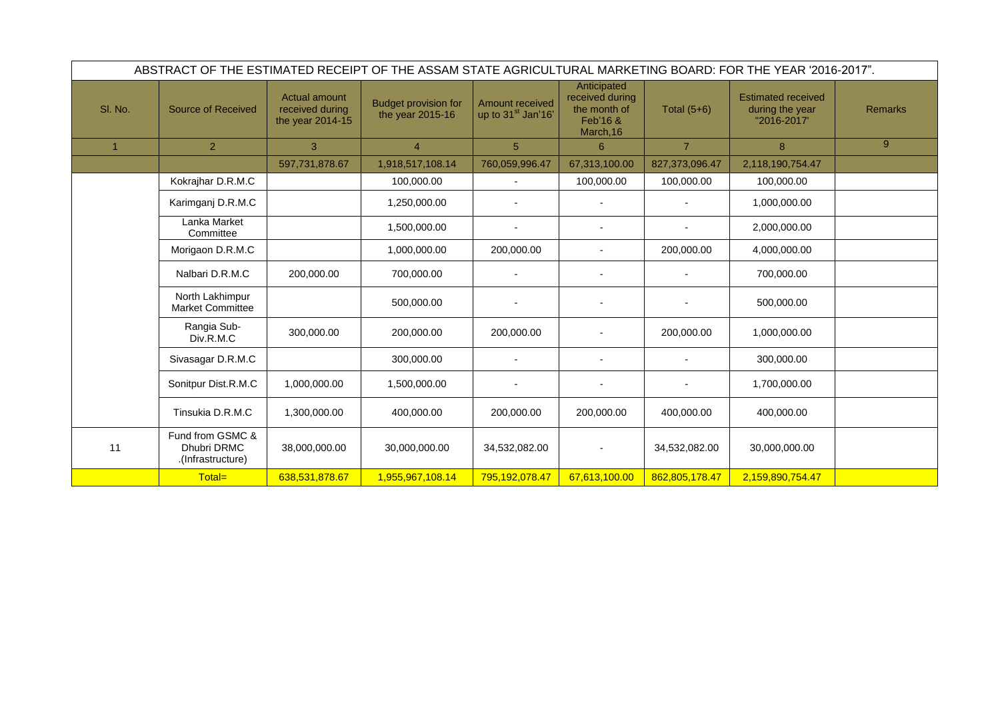|                | ABSTRACT OF THE ESTIMATED RECEIPT OF THE ASSAM STATE AGRICULTURAL MARKETING BOARD: FOR THE YEAR '2016-2017". |                                                             |                                                 |                                                          |                                                                         |                |                                                             |                |
|----------------|--------------------------------------------------------------------------------------------------------------|-------------------------------------------------------------|-------------------------------------------------|----------------------------------------------------------|-------------------------------------------------------------------------|----------------|-------------------------------------------------------------|----------------|
| SI. No.        | <b>Source of Received</b>                                                                                    | <b>Actual amount</b><br>received during<br>the year 2014-15 | <b>Budget provision for</b><br>the year 2015-16 | <b>Amount received</b><br>up to 31 <sup>st</sup> Jan'16' | Anticipated<br>received during<br>the month of<br>Feb'16 &<br>March, 16 | Total $(5+6)$  | <b>Estimated received</b><br>during the year<br>"2016-2017" | <b>Remarks</b> |
| $\overline{1}$ | $\overline{2}$                                                                                               | 3 <sup>1</sup>                                              | $\overline{4}$                                  | $5\overline{)}$                                          | 6                                                                       | $\overline{7}$ | 8                                                           | 9              |
|                |                                                                                                              | 597,731,878.67                                              | 1,918,517,108.14                                | 760,059,996.47                                           | 67,313,100.00                                                           | 827,373,096.47 | 2,118,190,754.47                                            |                |
|                | Kokrajhar D.R.M.C                                                                                            |                                                             | 100,000.00                                      |                                                          | 100,000.00                                                              | 100,000.00     | 100,000.00                                                  |                |
|                | Karimganj D.R.M.C                                                                                            |                                                             | 1,250,000.00                                    |                                                          |                                                                         |                | 1,000,000.00                                                |                |
|                | Lanka Market<br>Committee                                                                                    |                                                             | 1,500,000.00                                    | $\blacksquare$                                           | $\overline{\phantom{a}}$                                                |                | 2,000,000.00                                                |                |
|                | Morigaon D.R.M.C                                                                                             |                                                             | 1,000,000.00                                    | 200,000.00                                               | $\overline{\phantom{a}}$                                                | 200,000.00     | 4,000,000.00                                                |                |
|                | Nalbari D.R.M.C                                                                                              | 200,000.00                                                  | 700,000.00                                      |                                                          |                                                                         |                | 700,000.00                                                  |                |
|                | North Lakhimpur<br><b>Market Committee</b>                                                                   |                                                             | 500,000.00                                      |                                                          |                                                                         |                | 500,000.00                                                  |                |
|                | Rangia Sub-<br>Div.R.M.C                                                                                     | 300,000.00                                                  | 200,000.00                                      | 200,000.00                                               |                                                                         | 200,000.00     | 1,000,000.00                                                |                |
|                | Sivasagar D.R.M.C                                                                                            |                                                             | 300,000.00                                      |                                                          |                                                                         |                | 300,000.00                                                  |                |
|                | Sonitpur Dist.R.M.C                                                                                          | 1,000,000.00                                                | 1,500,000.00                                    |                                                          |                                                                         |                | 1,700,000.00                                                |                |
|                | Tinsukia D.R.M.C                                                                                             | 1,300,000.00                                                | 400,000.00                                      | 200,000.00                                               | 200,000.00                                                              | 400,000.00     | 400,000.00                                                  |                |
| 11             | Fund from GSMC &<br><b>Dhubri DRMC</b><br>.(Infrastructure)                                                  | 38,000,000.00                                               | 30,000,000.00                                   | 34,532,082.00                                            |                                                                         | 34,532,082.00  | 30,000,000.00                                               |                |
|                | Total=                                                                                                       | 638,531,878.67                                              | 1,955,967,108.14                                | 795,192,078.47                                           | 67,613,100.00                                                           | 862,805,178.47 | 2,159,890,754.47                                            |                |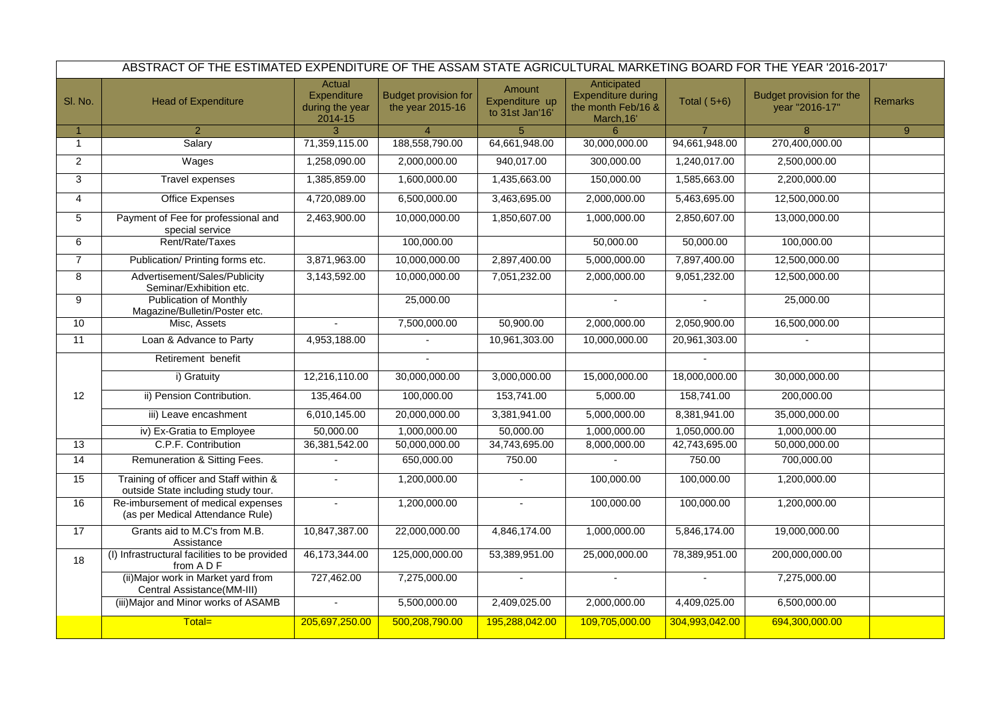|                 | ABSTRACT OF THE ESTIMATED EXPENDITURE OF THE ASSAM STATE AGRICULTURAL MARKETING BOARD FOR THE YEAR '2016-2017' |                                                                   |                                                 |                                             |                                                                              |                    |                                            |                |
|-----------------|----------------------------------------------------------------------------------------------------------------|-------------------------------------------------------------------|-------------------------------------------------|---------------------------------------------|------------------------------------------------------------------------------|--------------------|--------------------------------------------|----------------|
| SI. No.         | <b>Head of Expenditure</b>                                                                                     | <b>Actual</b><br><b>Expenditure</b><br>during the year<br>2014-15 | <b>Budget provision for</b><br>the year 2015-16 | Amount<br>Expenditure up<br>to 31st Jan'16' | Anticipated<br><b>Expenditure during</b><br>the month Feb/16 &<br>March, 16' | <b>Total (5+6)</b> | Budget provision for the<br>year "2016-17" | <b>Remarks</b> |
| $\mathbf{1}$    | $\overline{2}$                                                                                                 | 3                                                                 | $\overline{4}$                                  | 5                                           | 6                                                                            | $\overline{7}$     | 8                                          | 9 <sup>°</sup> |
|                 | Salary                                                                                                         | 71,359,115.00                                                     | 188,558,790.00                                  | 64,661,948.00                               | 30,000,000.00                                                                | 94,661,948.00      | 270,400,000.00                             |                |
| $2^{\circ}$     | Wages                                                                                                          | ,258,090.00                                                       | 2,000,000.00                                    | 940,017.00                                  | 300,000.00                                                                   | 1,240,017.00       | 2,500,000.00                               |                |
| 3               | Travel expenses                                                                                                | ,385,859.00                                                       | 1,600,000.00                                    | 1,435,663.00                                | 150,000.00                                                                   | 1,585,663.00       | 2,200,000.00                               |                |
| 4               | Office Expenses                                                                                                | 4,720,089.00                                                      | 6,500,000.00                                    | 3,463,695.00                                | 2,000,000.00                                                                 | 5,463,695.00       | 12,500,000.00                              |                |
| 5               | Payment of Fee for professional and<br>special service                                                         | 2,463,900.00                                                      | 10,000,000.00                                   | 1,850,607.00                                | 1,000,000.00                                                                 | 2,850,607.00       | 13,000,000.00                              |                |
| 6               | Rent/Rate/Taxes                                                                                                |                                                                   | 100,000.00                                      |                                             | 50,000.00                                                                    | 50,000.00          | 100,000.00                                 |                |
|                 | Publication/ Printing forms etc.                                                                               | 3,871,963.00                                                      | 10,000,000.00                                   | 2,897,400.00                                | 5,000,000.00                                                                 | 7,897,400.00       | 12,500,000.00                              |                |
| 8               | Advertisement/Sales/Publicity<br>Seminar/Exhibition etc.                                                       | 3,143,592.00                                                      | 10,000,000.00                                   | 7,051,232.00                                | 2,000,000.00                                                                 | 9,051,232.00       | 12,500,000.00                              |                |
| 9               | <b>Publication of Monthly</b><br>Magazine/Bulletin/Poster etc.                                                 |                                                                   | 25,000.00                                       |                                             |                                                                              |                    | 25,000.00                                  |                |
| 10 <sub>1</sub> | Misc, Assets                                                                                                   |                                                                   | 7,500,000.00                                    | 50,900.00                                   | 2,000,000.00                                                                 | 2,050,900.00       | 16,500,000.00                              |                |
| 11              | Loan & Advance to Party                                                                                        | 4,953,188.00                                                      |                                                 | 10,961,303.00                               | 10,000,000.00                                                                | 20,961,303.00      |                                            |                |
|                 | Retirement benefit                                                                                             |                                                                   |                                                 |                                             |                                                                              |                    |                                            |                |
|                 | i) Gratuity                                                                                                    | 12,216,110.00                                                     | 30,000,000.00                                   | 3,000,000.00                                | 15,000,000.00                                                                | 18,000,000.00      | 30,000,000.00                              |                |
| 12              | ii) Pension Contribution.                                                                                      | 135,464.00                                                        | 100,000.00                                      | 153,741.00                                  | 5,000.00                                                                     | 158,741.00         | 200,000.00                                 |                |
|                 | iii) Leave encashment                                                                                          | 6,010,145.00                                                      | 20,000,000.00                                   | 3,381,941.00                                | 5,000,000.00                                                                 | 8,381,941.00       | 35,000,000.00                              |                |
|                 | iv) Ex-Gratia to Employee                                                                                      | 50,000.00                                                         | 1,000,000.00                                    | 50,000.00                                   | 1,000,000.00                                                                 | 1,050,000.00       | 1,000,000.00                               |                |
| 13              | C.P.F. Contribution                                                                                            | 36,381,542.00                                                     | 50,000,000.00                                   | 34,743,695.00                               | 8,000,000.00                                                                 | 42,743,695.00      | 50,000,000.00                              |                |
| 14              | Remuneration & Sitting Fees.                                                                                   |                                                                   | 650,000.00                                      | 750.00                                      |                                                                              | 750.00             | 700,000.00                                 |                |
| 15              | Training of officer and Staff within &<br>outside State including study tour.                                  |                                                                   | 1,200,000.00                                    |                                             | 100,000.00                                                                   | 100,000.00         | 1,200,000.00                               |                |
| 16              | Re-imbursement of medical expenses<br>(as per Medical Attendance Rule)                                         |                                                                   | 1,200,000.00                                    |                                             | 100,000.00                                                                   | 100,000.00         | 1,200,000.00                               |                |
| 17              | Grants aid to M.C's from M.B.<br>Assistance                                                                    | 10,847,387.00                                                     | 22,000,000.00                                   | 4,846,174.00                                | 1,000,000.00                                                                 | 5,846,174.00       | 19,000,000.00                              |                |
| 18              | (I) Infrastructural facilities to be provided<br>from A D F                                                    | 46,173,344.00                                                     | 125,000,000.00                                  | 53,389,951.00                               | 25,000,000.00                                                                | 78,389,951.00      | 200,000,000.00                             |                |
|                 | (ii) Major work in Market yard from<br>Central Assistance(MM-III)                                              | 727,462.00                                                        | 7,275,000.00                                    | $\blacksquare$                              |                                                                              |                    | 7,275,000.00                               |                |
|                 | (iii) Major and Minor works of ASAMB                                                                           |                                                                   | 5,500,000.00                                    | 2,409,025.00                                | 2,000,000.00                                                                 | 4,409,025.00       | 6,500,000.00                               |                |
|                 | Total=                                                                                                         | 205,697,250.00                                                    | 500,208,790.00                                  | 195,288,042.00                              | 109,705,000.00                                                               | 304,993,042.00     | 694,300,000.00                             |                |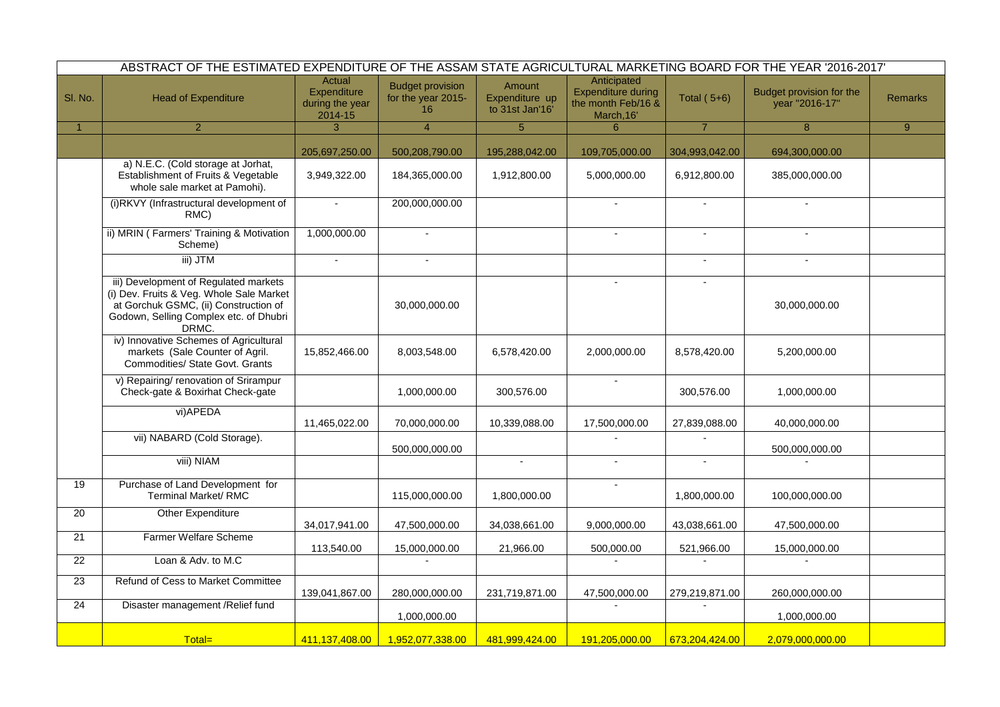|              | ABSTRACT OF THE ESTIMATED EXPENDITURE OF THE ASSAM STATE AGRICULTURAL MARKETING BOARD FOR THE YEAR '2016-2017'                                                                |                                                            |                                                     |                                             |                                                                              |                |                                            |                |
|--------------|-------------------------------------------------------------------------------------------------------------------------------------------------------------------------------|------------------------------------------------------------|-----------------------------------------------------|---------------------------------------------|------------------------------------------------------------------------------|----------------|--------------------------------------------|----------------|
| SI. No.      | <b>Head of Expenditure</b>                                                                                                                                                    | Actual<br><b>Expenditure</b><br>during the year<br>2014-15 | <b>Budget provision</b><br>for the year 2015-<br>16 | Amount<br>Expenditure up<br>to 31st Jan'16' | Anticipated<br><b>Expenditure during</b><br>the month Feb/16 &<br>March, 16' | Total $(5+6)$  | Budget provision for the<br>year "2016-17" | <b>Remarks</b> |
| $\mathbf{1}$ | $\overline{2}$                                                                                                                                                                | 3                                                          | $\overline{4}$                                      | 5 <sup>5</sup>                              | 6                                                                            | $\overline{7}$ | 8                                          | 9              |
|              |                                                                                                                                                                               | 205,697,250.00                                             | 500,208,790.00                                      | 195,288,042.00                              | 109,705,000.00                                                               | 304,993,042.00 | 694,300,000.00                             |                |
|              | a) N.E.C. (Cold storage at Jorhat,<br>Establishment of Fruits & Vegetable<br>whole sale market at Pamohi).                                                                    | 3,949,322.00                                               | 184,365,000.00                                      | 1,912,800.00                                | 5,000,000.00                                                                 | 6,912,800.00   | 385,000,000.00                             |                |
|              | (i)RKVY (Infrastructural development of<br>RMC)                                                                                                                               |                                                            | 200,000,000.00                                      |                                             |                                                                              |                |                                            |                |
|              | ii) MRIN (Farmers' Training & Motivation<br>Scheme)                                                                                                                           | 1,000,000.00                                               |                                                     |                                             |                                                                              |                |                                            |                |
|              | iii) JTM                                                                                                                                                                      |                                                            |                                                     |                                             |                                                                              | $\blacksquare$ | $\blacksquare$                             |                |
|              | iii) Development of Regulated markets<br>(i) Dev. Fruits & Veg. Whole Sale Market<br>at Gorchuk GSMC, (ii) Construction of<br>Godown, Selling Complex etc. of Dhubri<br>DRMC. |                                                            | 30,000,000.00                                       |                                             | $\blacksquare$                                                               | $\blacksquare$ | 30,000,000.00                              |                |
|              | iv) Innovative Schemes of Agricultural<br>markets (Sale Counter of Agril.<br><b>Commodities/ State Govt. Grants</b>                                                           | 15,852,466.00                                              | 8,003,548.00                                        | 6,578,420.00                                | 2,000,000.00                                                                 | 8,578,420.00   | 5,200,000.00                               |                |
|              | v) Repairing/ renovation of Srirampur<br>Check-gate & Boxirhat Check-gate                                                                                                     |                                                            | 1,000,000.00                                        | 300,576.00                                  |                                                                              | 300,576.00     | 1,000,000.00                               |                |
|              | vi) APEDA                                                                                                                                                                     | 11,465,022.00                                              | 70,000,000.00                                       | 10,339,088.00                               | 17,500,000.00                                                                | 27,839,088.00  | 40,000,000.00                              |                |
|              | vii) NABARD (Cold Storage).                                                                                                                                                   |                                                            | 500,000,000.00                                      |                                             |                                                                              |                | 500,000,000.00                             |                |
|              | viii) NIAM                                                                                                                                                                    |                                                            |                                                     |                                             |                                                                              |                |                                            |                |
| 19           | Purchase of Land Development for<br><b>Terminal Market/ RMC</b>                                                                                                               |                                                            | 115,000,000.00                                      | 1,800,000.00                                |                                                                              | 1,800,000.00   | 100,000,000.00                             |                |
| 20           | <b>Other Expenditure</b>                                                                                                                                                      | 34,017,941.00                                              | 47,500,000.00                                       | 34,038,661.00                               | 9,000,000.00                                                                 | 43,038,661.00  | 47,500,000.00                              |                |
| 21           | <b>Farmer Welfare Scheme</b>                                                                                                                                                  | 113,540.00                                                 | 15,000,000.00                                       | 21,966.00                                   | 500,000.00                                                                   | 521,966.00     | 15,000,000.00                              |                |
| 22           | Loan & Adv. to M.C                                                                                                                                                            |                                                            |                                                     |                                             |                                                                              |                |                                            |                |
| 23           | <b>Refund of Cess to Market Committee</b>                                                                                                                                     | 139,041,867.00                                             | 280,000,000.00                                      | 231,719,871.00                              | 47,500,000.00                                                                | 279,219,871.00 | 260,000,000.00                             |                |
| 24           | Disaster management / Relief fund                                                                                                                                             |                                                            | 1,000,000.00                                        |                                             |                                                                              |                | 1,000,000.00                               |                |
|              | Total=                                                                                                                                                                        | 411,137,408.00                                             | 1,952,077,338.00                                    | 481,999,424.00                              | 191,205,000.00                                                               | 673,204,424.00 | 2,079,000,000.00                           |                |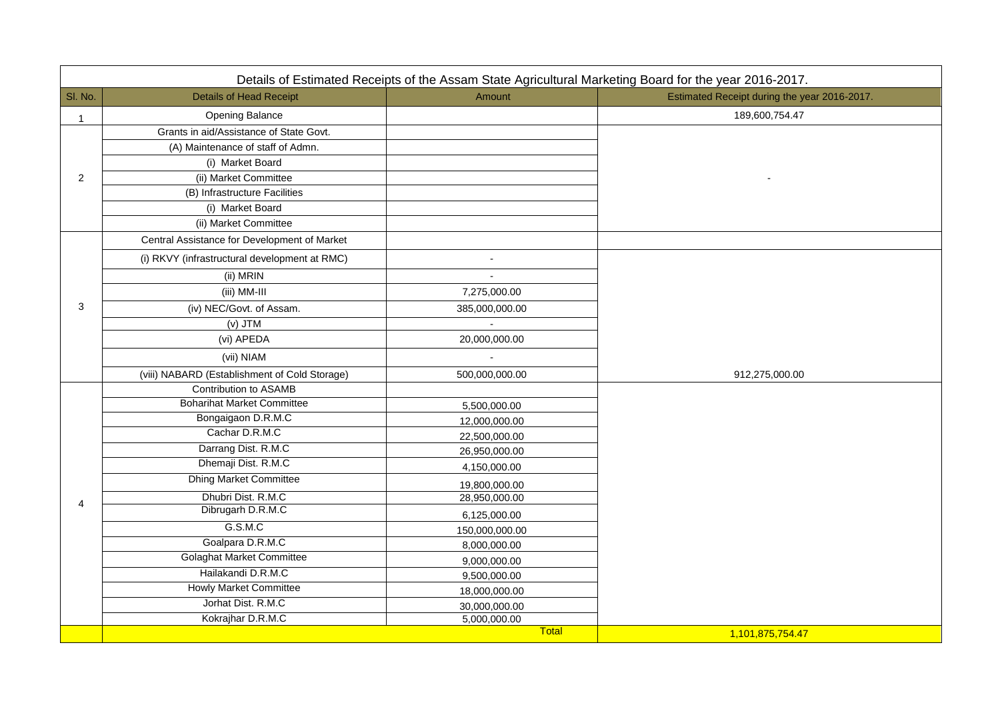016-2017. during the year 2016-2017. -

|         |                                               | Details of Estimated Receipts of the Assam State Agricultural Marketing Board for the year 2016-2017. |                                        |
|---------|-----------------------------------------------|-------------------------------------------------------------------------------------------------------|----------------------------------------|
| SI. No. | <b>Details of Head Receipt</b>                | Amount                                                                                                | <b>Estimated Receipt during the ye</b> |
| 1       | <b>Opening Balance</b>                        |                                                                                                       | 189,600,754.47                         |
|         | Grants in aid/Assistance of State Govt.       |                                                                                                       |                                        |
|         | (A) Maintenance of staff of Admn.             |                                                                                                       |                                        |
|         | (i) Market Board                              |                                                                                                       |                                        |
| 2       | (ii) Market Committee                         |                                                                                                       |                                        |
|         | (B) Infrastructure Facilities                 |                                                                                                       |                                        |
|         | (i) Market Board                              |                                                                                                       |                                        |
|         | (ii) Market Committee                         |                                                                                                       |                                        |
|         | Central Assistance for Development of Market  |                                                                                                       |                                        |
|         | (i) RKVY (infrastructural development at RMC) |                                                                                                       |                                        |
|         | (ii) MRIN                                     |                                                                                                       |                                        |
|         | (iii) MM-III                                  | 7,275,000.00                                                                                          |                                        |
| 3       | (iv) NEC/Govt. of Assam.                      | 385,000,000.00                                                                                        |                                        |
|         | $(V)$ JTM                                     |                                                                                                       |                                        |
|         | (vi) APEDA                                    | 20,000,000.00                                                                                         |                                        |
|         | (vii) NIAM                                    |                                                                                                       |                                        |
|         | (viii) NABARD (Establishment of Cold Storage) | 500,000,000.00                                                                                        | 912,275,000.00                         |
|         | <b>Contribution to ASAMB</b>                  |                                                                                                       |                                        |
|         | <b>Boharihat Market Committee</b>             | 5,500,000.00                                                                                          |                                        |
|         | Bongaigaon D.R.M.C                            | 12,000,000.00                                                                                         |                                        |
|         | Cachar D.R.M.C                                | 22,500,000.00                                                                                         |                                        |
|         | Darrang Dist. R.M.C                           | 26,950,000.00                                                                                         |                                        |
|         | Dhemaji Dist. R.M.C                           | 4,150,000.00                                                                                          |                                        |
|         | <b>Dhing Market Committee</b>                 | 19,800,000.00                                                                                         |                                        |
| 4       | Dhubri Dist. R.M.C                            | 28,950,000.00                                                                                         |                                        |
|         | Dibrugarh D.R.M.C                             | 6,125,000.00                                                                                          |                                        |
|         | G.S.M.C                                       | 150,000,000.00                                                                                        |                                        |
|         | Goalpara D.R.M.C                              | 8,000,000.00                                                                                          |                                        |
|         | <b>Golaghat Market Committee</b>              | 9,000,000.00                                                                                          |                                        |
|         | Hailakandi D.R.M.C                            | 9,500,000.00                                                                                          |                                        |
|         | <b>Howly Market Committee</b>                 | 18,000,000.00                                                                                         |                                        |
|         | Jorhat Dist. R.M.C                            | 30,000,000.00                                                                                         |                                        |
|         | Kokrajhar D.R.M.C                             | 5,000,000.00                                                                                          |                                        |
|         |                                               | Total                                                                                                 | 1,101,875,754.47                       |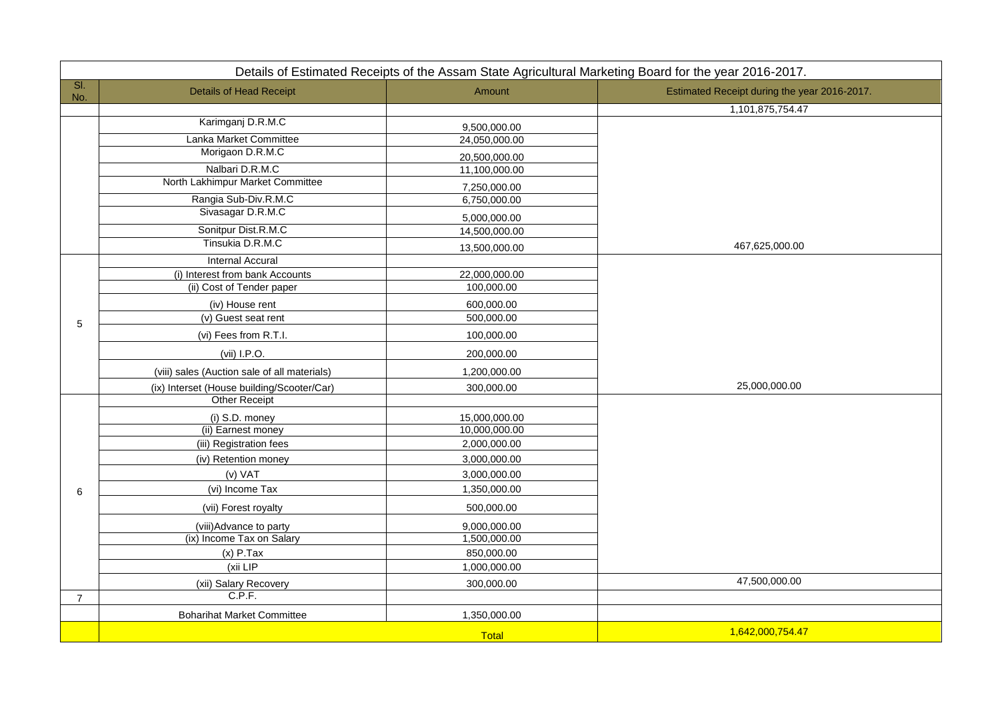|                | Details of Estimated Receipts of the Assam State Agricultural Marketing Board for the year 2016-2017. |               |                                        |  |  |  |
|----------------|-------------------------------------------------------------------------------------------------------|---------------|----------------------------------------|--|--|--|
| SI.<br>No.     | <b>Details of Head Receipt</b>                                                                        | Amount        | <b>Estimated Receipt during the ye</b> |  |  |  |
|                |                                                                                                       |               | 1,101,875,754.47                       |  |  |  |
|                | Karimganj D.R.M.C                                                                                     | 9,500,000.00  |                                        |  |  |  |
|                | Lanka Market Committee                                                                                | 24,050,000.00 |                                        |  |  |  |
|                | Morigaon D.R.M.C                                                                                      | 20,500,000.00 |                                        |  |  |  |
|                | Nalbari D.R.M.C                                                                                       | 11,100,000.00 |                                        |  |  |  |
|                | North Lakhimpur Market Committee                                                                      | 7,250,000.00  |                                        |  |  |  |
|                | Rangia Sub-Div.R.M.C                                                                                  | 6,750,000.00  |                                        |  |  |  |
|                | Sivasagar D.R.M.C                                                                                     | 5,000,000.00  |                                        |  |  |  |
|                | Sonitpur Dist.R.M.C                                                                                   | 14,500,000.00 |                                        |  |  |  |
|                | Tinsukia D.R.M.C                                                                                      | 13,500,000.00 | 467,625,000.00                         |  |  |  |
|                | <b>Internal Accural</b>                                                                               |               |                                        |  |  |  |
|                | (i) Interest from bank Accounts                                                                       | 22,000,000.00 |                                        |  |  |  |
|                | (ii) Cost of Tender paper                                                                             | 100,000.00    |                                        |  |  |  |
|                | (iv) House rent                                                                                       | 600,000.00    |                                        |  |  |  |
| 5              | (v) Guest seat rent                                                                                   | 500,000.00    |                                        |  |  |  |
|                | (vi) Fees from R.T.I.                                                                                 | 100,000.00    |                                        |  |  |  |
|                | (vii) I.P.O.                                                                                          | 200,000.00    |                                        |  |  |  |
|                | (viii) sales (Auction sale of all materials)                                                          | 1,200,000.00  |                                        |  |  |  |
|                | (ix) Interset (House building/Scooter/Car)                                                            | 300,000.00    | 25,000,000.00                          |  |  |  |
|                | <b>Other Receipt</b>                                                                                  |               |                                        |  |  |  |
|                | (i) S.D. money                                                                                        | 15,000,000.00 |                                        |  |  |  |
|                | (ii) Earnest money                                                                                    | 10,000,000.00 |                                        |  |  |  |
|                | (iii) Registration fees                                                                               | 2,000,000.00  |                                        |  |  |  |
|                | (iv) Retention money                                                                                  | 3,000,000.00  |                                        |  |  |  |
|                | (v) VAT                                                                                               | 3,000,000.00  |                                        |  |  |  |
| 6              | (vi) Income Tax                                                                                       | 1,350,000.00  |                                        |  |  |  |
|                | (vii) Forest royalty                                                                                  | 500,000.00    |                                        |  |  |  |
|                | (viii) Advance to party                                                                               | 9,000,000.00  |                                        |  |  |  |
|                | (ix) Income Tax on Salary                                                                             | 1,500,000.00  |                                        |  |  |  |
|                | $(x)$ P.Tax                                                                                           | 850,000.00    |                                        |  |  |  |
|                | (xii LIP                                                                                              | 1,000,000.00  |                                        |  |  |  |
|                | (xii) Salary Recovery                                                                                 | 300,000.00    | 47,500,000.00                          |  |  |  |
| $\overline{7}$ | C.P.F.                                                                                                |               |                                        |  |  |  |
|                | <b>Boharihat Market Committee</b>                                                                     | 1,350,000.00  |                                        |  |  |  |
|                |                                                                                                       | Total         | 1,642,000,754.47                       |  |  |  |

016-2017. during the year 2016-2017. 1,875,754.47